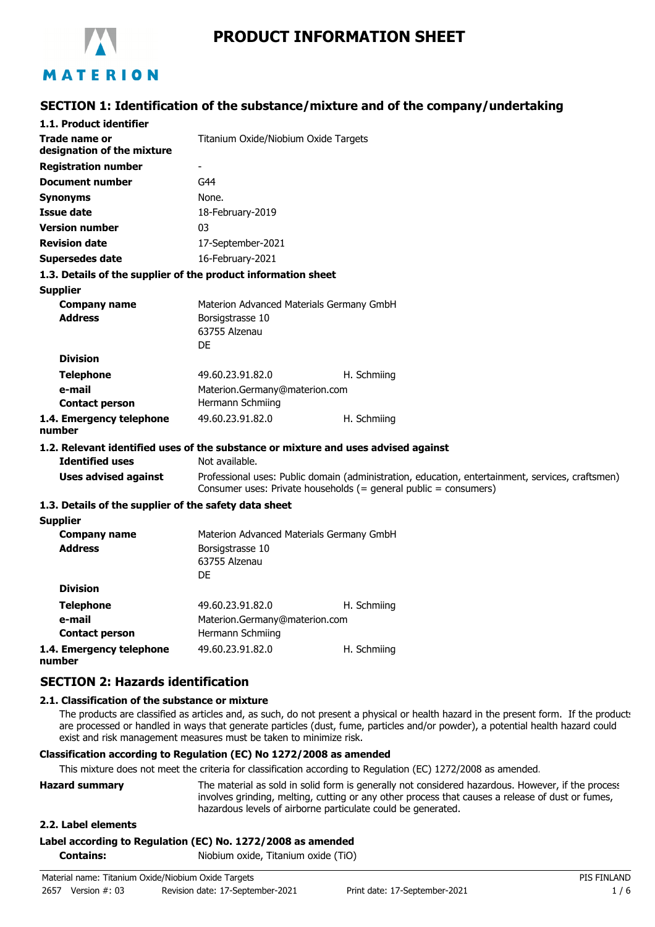

# **PRODUCT INFORMATION SHEET**

## **SECTION 1: Identification of the substance/mixture and of the company/undertaking**

| 1.1. Product identifier                                                            |                                                                                                                                                                      |             |
|------------------------------------------------------------------------------------|----------------------------------------------------------------------------------------------------------------------------------------------------------------------|-------------|
| Trade name or<br>designation of the mixture                                        | Titanium Oxide/Niobium Oxide Targets                                                                                                                                 |             |
| <b>Registration number</b>                                                         | $\overline{\phantom{a}}$                                                                                                                                             |             |
| <b>Document number</b>                                                             | G44                                                                                                                                                                  |             |
|                                                                                    | None.                                                                                                                                                                |             |
| <b>Synonyms</b>                                                                    |                                                                                                                                                                      |             |
| Issue date                                                                         | 18-February-2019                                                                                                                                                     |             |
| <b>Version number</b>                                                              | 03                                                                                                                                                                   |             |
| <b>Revision date</b>                                                               | 17-September-2021                                                                                                                                                    |             |
| <b>Supersedes date</b>                                                             | 16-February-2021                                                                                                                                                     |             |
| 1.3. Details of the supplier of the product information sheet                      |                                                                                                                                                                      |             |
| <b>Supplier</b>                                                                    |                                                                                                                                                                      |             |
| <b>Company name</b>                                                                | Materion Advanced Materials Germany GmbH                                                                                                                             |             |
| <b>Address</b>                                                                     | Borsigstrasse 10<br>63755 Alzenau                                                                                                                                    |             |
|                                                                                    | DF                                                                                                                                                                   |             |
| <b>Division</b>                                                                    |                                                                                                                                                                      |             |
| <b>Telephone</b>                                                                   | 49.60.23.91.82.0                                                                                                                                                     | H. Schmiing |
| e-mail                                                                             | Materion.Germany@materion.com                                                                                                                                        |             |
| <b>Contact person</b>                                                              | Hermann Schmiing                                                                                                                                                     |             |
| 1.4. Emergency telephone                                                           | 49.60.23.91.82.0                                                                                                                                                     | H. Schmiing |
| number                                                                             |                                                                                                                                                                      |             |
| 1.2. Relevant identified uses of the substance or mixture and uses advised against |                                                                                                                                                                      |             |
| <b>Identified uses</b>                                                             | Not available.                                                                                                                                                       |             |
| <b>Uses advised against</b>                                                        | Professional uses: Public domain (administration, education, entertainment, services, craftsmen)<br>Consumer uses: Private households (= general public = consumers) |             |
| 1.3. Details of the supplier of the safety data sheet                              |                                                                                                                                                                      |             |
| <b>Supplier</b>                                                                    |                                                                                                                                                                      |             |
| <b>Company name</b>                                                                | Materion Advanced Materials Germany GmbH                                                                                                                             |             |
| <b>Address</b>                                                                     | Borsigstrasse 10                                                                                                                                                     |             |
|                                                                                    | 63755 Alzenau                                                                                                                                                        |             |
|                                                                                    | DF                                                                                                                                                                   |             |
| <b>Division</b>                                                                    |                                                                                                                                                                      |             |
| <b>Telephone</b>                                                                   | 49.60.23.91.82.0                                                                                                                                                     | H. Schmiing |
| e-mail                                                                             | Materion.Germany@materion.com                                                                                                                                        |             |
| <b>Contact person</b>                                                              | Hermann Schmiing                                                                                                                                                     |             |

**1.4. Emergency telephone number**

## **SECTION 2: Hazards identification**

#### **2.1. Classification of the substance or mixture**

The products are classified as articles and, as such, do not present a physical or health hazard in the present form. If the product: are processed or handled in ways that generate particles (dust, fume, particles and/or powder), a potential health hazard could exist and risk management measures must be taken to minimize risk.

#### **Classification according to Regulation (EC) No 1272/2008 as amended**

This mixture does not meet the criteria for classification according to Regulation (EC) 1272/2008 as amended.

49.60.23.91.82.0 H. Schmiing

| <b>Hazard summary</b> | The material as sold in solid form is generally not considered hazardous. However, if the process |
|-----------------------|---------------------------------------------------------------------------------------------------|
|                       | involves grinding, melting, cutting or any other process that causes a release of dust or fumes,  |
|                       | hazardous levels of airborne particulate could be generated.                                      |

#### **2.2. Label elements**

#### **Label according to Regulation (EC) No. 1272/2008 as amended**

**Contains:** Niobium oxide, Titanium oxide (TiO)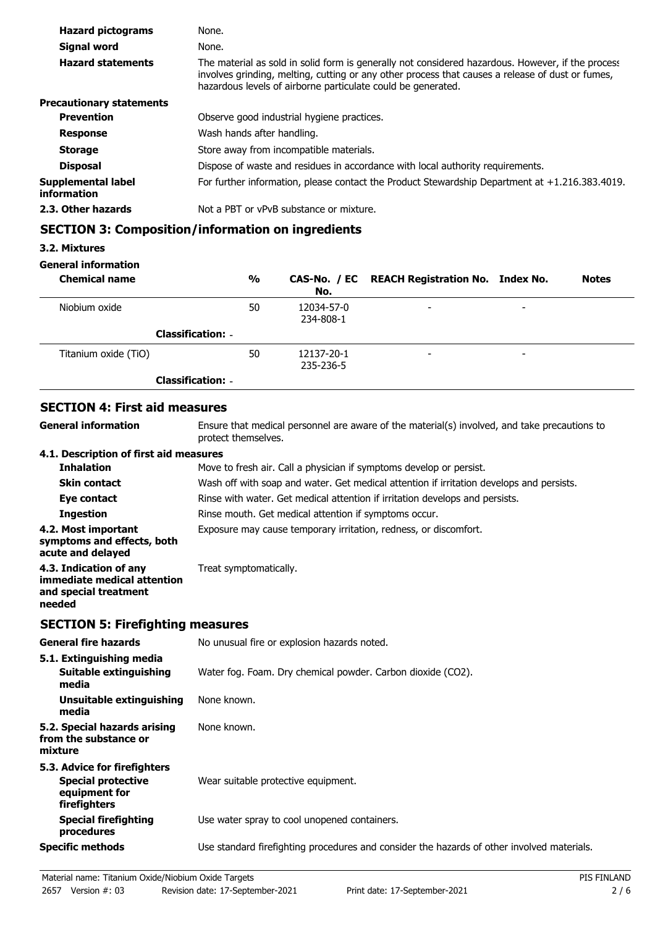| <b>Hazard pictograms</b>          | None.                                                                                                                                                                                                                                                                 |
|-----------------------------------|-----------------------------------------------------------------------------------------------------------------------------------------------------------------------------------------------------------------------------------------------------------------------|
| Signal word                       | None.                                                                                                                                                                                                                                                                 |
| <b>Hazard statements</b>          | The material as sold in solid form is generally not considered hazardous. However, if the process<br>involves grinding, melting, cutting or any other process that causes a release of dust or fumes,<br>hazardous levels of airborne particulate could be generated. |
| <b>Precautionary statements</b>   |                                                                                                                                                                                                                                                                       |
| <b>Prevention</b>                 | Observe good industrial hygiene practices.                                                                                                                                                                                                                            |
| <b>Response</b>                   | Wash hands after handling.                                                                                                                                                                                                                                            |
| <b>Storage</b>                    | Store away from incompatible materials.                                                                                                                                                                                                                               |
| <b>Disposal</b>                   | Dispose of waste and residues in accordance with local authority requirements.                                                                                                                                                                                        |
| Supplemental label<br>information | For further information, please contact the Product Stewardship Department at +1.216.383.4019.                                                                                                                                                                        |
| 2.3. Other hazards                | Not a PBT or vPvB substance or mixture.                                                                                                                                                                                                                               |

## **SECTION 3: Composition/information on ingredients**

### **3.2. Mixtures**

### **General information**

| <b>Chemical name</b>     | %  | No.                     | CAS-No. / EC REACH Registration No. Index No. |                          | <b>Notes</b> |
|--------------------------|----|-------------------------|-----------------------------------------------|--------------------------|--------------|
| Niobium oxide            | 50 | 12034-57-0<br>234-808-1 | $\overline{\phantom{a}}$                      | $\overline{\phantom{0}}$ |              |
| <b>Classification: -</b> |    |                         |                                               |                          |              |
| Titanium oxide (TiO)     | 50 | 12137-20-1<br>235-236-5 | $\overline{\phantom{a}}$                      | $\overline{\phantom{0}}$ |              |
| <b>Classification: -</b> |    |                         |                                               |                          |              |

## **SECTION 4: First aid measures**

| <b>General information</b>                                                               | Ensure that medical personnel are aware of the material(s) involved, and take precautions to<br>protect themselves. |
|------------------------------------------------------------------------------------------|---------------------------------------------------------------------------------------------------------------------|
| 4.1. Description of first aid measures                                                   |                                                                                                                     |
| <b>Inhalation</b>                                                                        | Move to fresh air. Call a physician if symptoms develop or persist.                                                 |
| <b>Skin contact</b>                                                                      | Wash off with soap and water. Get medical attention if irritation develops and persists.                            |
| Eye contact                                                                              | Rinse with water. Get medical attention if irritation develops and persists.                                        |
| <b>Ingestion</b>                                                                         | Rinse mouth. Get medical attention if symptoms occur.                                                               |
| 4.2. Most important<br>symptoms and effects, both<br>acute and delayed                   | Exposure may cause temporary irritation, redness, or discomfort.                                                    |
| 4.3. Indication of any<br>immediate medical attention<br>and special treatment<br>needed | Treat symptomatically.                                                                                              |

## **SECTION 5: Firefighting measures**

| <b>General fire hazards</b>                                                                | No unusual fire or explosion hazards noted.                                                |
|--------------------------------------------------------------------------------------------|--------------------------------------------------------------------------------------------|
| 5.1. Extinguishing media<br>Suitable extinguishing<br>media                                | Water fog. Foam. Dry chemical powder. Carbon dioxide (CO2).                                |
| Unsuitable extinguishing<br>media                                                          | None known.                                                                                |
| 5.2. Special hazards arising<br>from the substance or<br>mixture                           | None known.                                                                                |
| 5.3. Advice for firefighters<br><b>Special protective</b><br>equipment for<br>firefighters | Wear suitable protective equipment.                                                        |
| <b>Special firefighting</b><br>procedures                                                  | Use water spray to cool unopened containers.                                               |
| <b>Specific methods</b>                                                                    | Use standard firefighting procedures and consider the hazards of other involved materials. |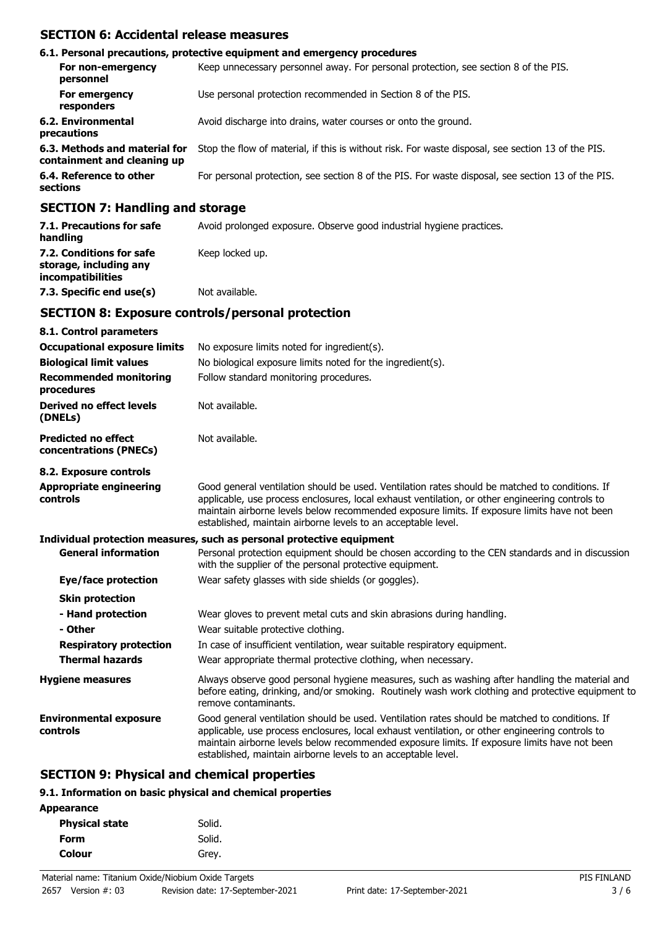## **SECTION 6: Accidental release measures**

| 6.1. Personal precautions, protective equipment and emergency procedures                                                                                                                                                      |                                                                                                    |  |
|-------------------------------------------------------------------------------------------------------------------------------------------------------------------------------------------------------------------------------|----------------------------------------------------------------------------------------------------|--|
| For non-emergency<br>personnel                                                                                                                                                                                                | Keep unnecessary personnel away. For personal protection, see section 8 of the PIS.                |  |
| For emergency<br>responders                                                                                                                                                                                                   | Use personal protection recommended in Section 8 of the PIS.                                       |  |
| 6.2. Environmental<br>precautions                                                                                                                                                                                             | Avoid discharge into drains, water courses or onto the ground.                                     |  |
| 6.3. Methods and material for<br>containment and cleaning up                                                                                                                                                                  | Stop the flow of material, if this is without risk. For waste disposal, see section 13 of the PIS. |  |
| 6.4. Reference to other<br>sections                                                                                                                                                                                           | For personal protection, see section 8 of the PIS. For waste disposal, see section 13 of the PIS.  |  |
| $A$ - $A$ - $A$ - $A$ - $A$ - $A$ - $A$ - $A$ - $A$ - $A$ - $A$ - $A$ - $A$ - $A$ - $A$ - $A$ - $A$ - $A$ - $A$ - $A$ - $A$ - $A$ - $A$ - $A$ - $A$ - $A$ - $A$ - $A$ - $A$ - $A$ - $A$ - $A$ - $A$ - $A$ - $A$ - $A$ - $A$ - |                                                                                                    |  |

### **SECTION 7: Handling and storage**

| 7.1. Precautions for safe<br>handling                                          | Avoid prolonged exposure. Observe good industrial hygiene practices. |
|--------------------------------------------------------------------------------|----------------------------------------------------------------------|
| 7.2. Conditions for safe<br>storage, including any<br><i>incompatibilities</i> | Keep locked up.                                                      |
| 7.3. Specific end use(s)                                                       | Not available.                                                       |

### **SECTION 8: Exposure controls/personal protection**

| 8.1. Control parameters                              |                                                                                                                                                                                                                                                                                                                                                                    |
|------------------------------------------------------|--------------------------------------------------------------------------------------------------------------------------------------------------------------------------------------------------------------------------------------------------------------------------------------------------------------------------------------------------------------------|
| <b>Occupational exposure limits</b>                  | No exposure limits noted for ingredient(s).                                                                                                                                                                                                                                                                                                                        |
| <b>Biological limit values</b>                       | No biological exposure limits noted for the ingredient(s).                                                                                                                                                                                                                                                                                                         |
| <b>Recommended monitoring</b><br>procedures          | Follow standard monitoring procedures.                                                                                                                                                                                                                                                                                                                             |
| Derived no effect levels<br>(DNELs)                  | Not available.                                                                                                                                                                                                                                                                                                                                                     |
| <b>Predicted no effect</b><br>concentrations (PNECs) | Not available.                                                                                                                                                                                                                                                                                                                                                     |
| 8.2. Exposure controls                               |                                                                                                                                                                                                                                                                                                                                                                    |
| <b>Appropriate engineering</b><br>controls           | Good general ventilation should be used. Ventilation rates should be matched to conditions. If<br>applicable, use process enclosures, local exhaust ventilation, or other engineering controls to<br>maintain airborne levels below recommended exposure limits. If exposure limits have not been<br>established, maintain airborne levels to an acceptable level. |
|                                                      | Individual protection measures, such as personal protective equipment                                                                                                                                                                                                                                                                                              |
| <b>General information</b>                           | Personal protection equipment should be chosen according to the CEN standards and in discussion<br>with the supplier of the personal protective equipment.                                                                                                                                                                                                         |
| Eye/face protection                                  | Wear safety glasses with side shields (or goggles).                                                                                                                                                                                                                                                                                                                |
| <b>Skin protection</b>                               |                                                                                                                                                                                                                                                                                                                                                                    |
| - Hand protection<br>- Other                         | Wear gloves to prevent metal cuts and skin abrasions during handling.<br>Wear suitable protective clothing.                                                                                                                                                                                                                                                        |
| <b>Respiratory protection</b>                        | In case of insufficient ventilation, wear suitable respiratory equipment.                                                                                                                                                                                                                                                                                          |
| <b>Thermal hazards</b>                               | Wear appropriate thermal protective clothing, when necessary.                                                                                                                                                                                                                                                                                                      |
| <b>Hygiene measures</b>                              | Always observe good personal hygiene measures, such as washing after handling the material and<br>before eating, drinking, and/or smoking. Routinely wash work clothing and protective equipment to<br>remove contaminants.                                                                                                                                        |
| <b>Environmental exposure</b><br>controls            | Good general ventilation should be used. Ventilation rates should be matched to conditions. If<br>applicable, use process enclosures, local exhaust ventilation, or other engineering controls to<br>maintain airborne levels below recommended exposure limits. If exposure limits have not been<br>established, maintain airborne levels to an acceptable level. |

## **SECTION 9: Physical and chemical properties**

### **9.1. Information on basic physical and chemical properties**

| <b>Physical state</b> | Solid. |
|-----------------------|--------|
| Form                  | Solid. |
| Colour                | Grey.  |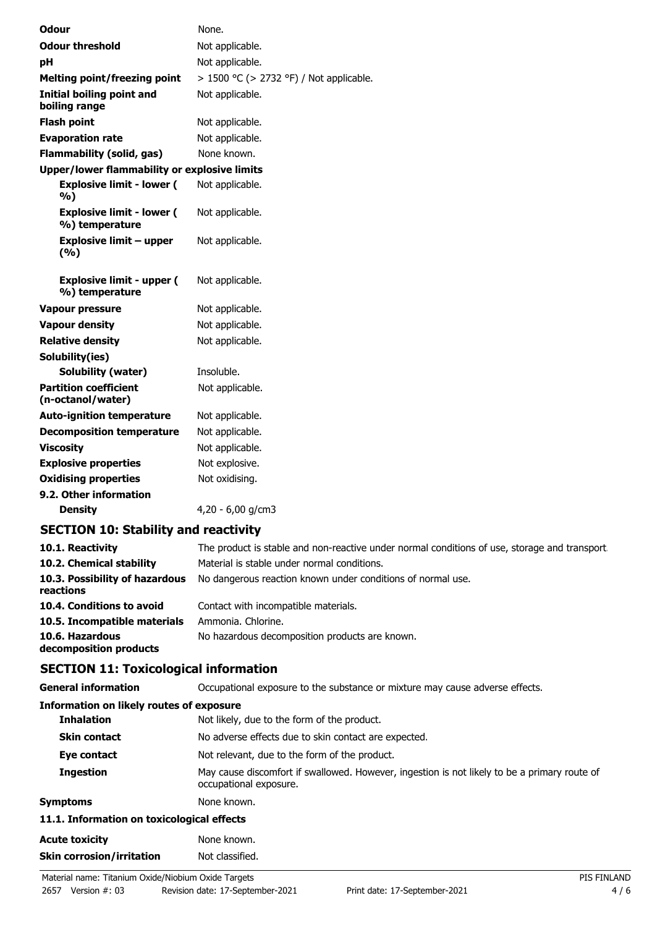| <b>Odour</b>                                        | None.                                   |
|-----------------------------------------------------|-----------------------------------------|
| <b>Odour threshold</b>                              | Not applicable.                         |
| рH                                                  | Not applicable.                         |
| <b>Melting point/freezing point</b>                 | > 1500 °C (> 2732 °F) / Not applicable. |
| Initial boiling point and<br>boiling range          | Not applicable.                         |
| <b>Flash point</b>                                  | Not applicable.                         |
| <b>Evaporation rate</b>                             | Not applicable.                         |
| <b>Flammability (solid, gas)</b>                    | None known.                             |
| <b>Upper/lower flammability or explosive limits</b> |                                         |
| <b>Explosive limit - lower (</b><br>%)              | Not applicable.                         |
| <b>Explosive limit - lower (</b><br>%) temperature  | Not applicable.                         |
| Explosive limit – upper<br>(%)                      | Not applicable.                         |
| <b>Explosive limit - upper (</b><br>%) temperature  | Not applicable.                         |
| <b>Vapour pressure</b>                              | Not applicable.                         |
| <b>Vapour density</b>                               | Not applicable.                         |
| <b>Relative density</b>                             | Not applicable.                         |
| Solubility(ies)                                     |                                         |
| Solubility (water)                                  | Insoluble.                              |
| <b>Partition coefficient</b><br>(n-octanol/water)   | Not applicable.                         |
| <b>Auto-ignition temperature</b>                    | Not applicable.                         |
| <b>Decomposition temperature</b>                    | Not applicable.                         |
| <b>Viscosity</b>                                    | Not applicable.                         |
| <b>Explosive properties</b>                         | Not explosive.                          |
| <b>Oxidising properties</b>                         | Not oxidising.                          |
| 9.2. Other information                              |                                         |
| Density                                             | 4,20 - 6,00 g/cm3                       |

## **SECTION 10: Stability and reactivity**

| 10.1. Reactivity<br>10.2. Chemical stability | The product is stable and non-reactive under normal conditions of use, storage and transport.<br>Material is stable under normal conditions. |
|----------------------------------------------|----------------------------------------------------------------------------------------------------------------------------------------------|
| 10.3. Possibility of hazardous<br>reactions  | No dangerous reaction known under conditions of normal use.                                                                                  |
| 10.4. Conditions to avoid                    | Contact with incompatible materials.                                                                                                         |
| 10.5. Incompatible materials                 | Ammonia. Chlorine.                                                                                                                           |
| 10.6. Hazardous<br>decomposition products    | No hazardous decomposition products are known.                                                                                               |

## **SECTION 11: Toxicological information**

| <b>General information</b> | Occupational exposure to the substance or mixture may cause adverse effects. |  |
|----------------------------|------------------------------------------------------------------------------|--|
|                            |                                                                              |  |

| Information on likely routes of exposure   |                                                                                                                        |
|--------------------------------------------|------------------------------------------------------------------------------------------------------------------------|
| <b>Inhalation</b>                          | Not likely, due to the form of the product.                                                                            |
| <b>Skin contact</b>                        | No adverse effects due to skin contact are expected.                                                                   |
| Eye contact                                | Not relevant, due to the form of the product.                                                                          |
| <b>Ingestion</b>                           | May cause discomfort if swallowed. However, ingestion is not likely to be a primary route of<br>occupational exposure. |
| <b>Symptoms</b>                            | None known.                                                                                                            |
| 11.1. Information on toxicological effects |                                                                                                                        |
| <b>Acute toxicity</b>                      | None known.                                                                                                            |
| <b>Skin corrosion/irritation</b>           | Not classified.                                                                                                        |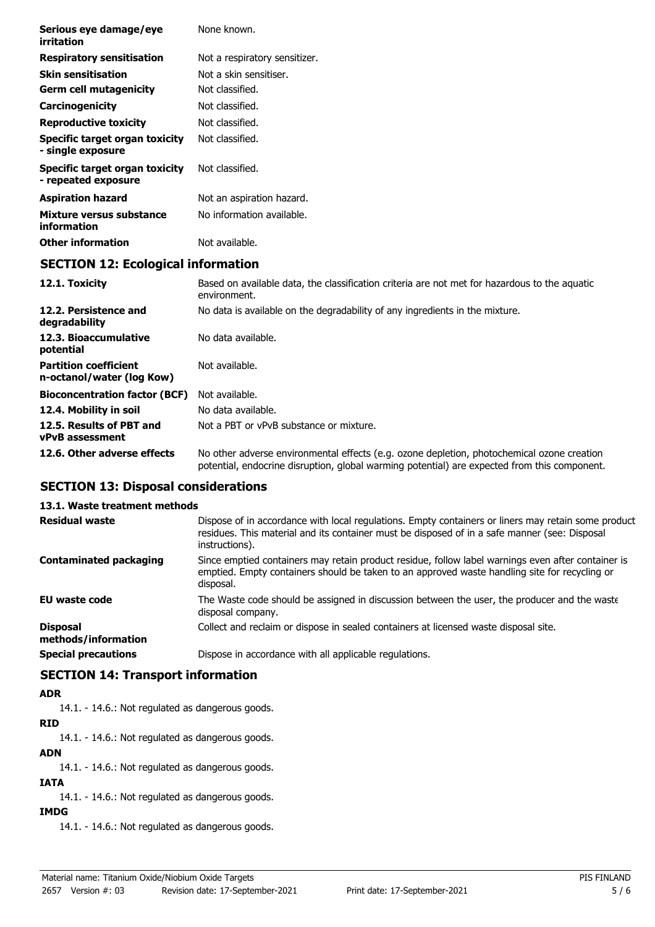| Serious eye damage/eye<br>irritation                       | None known.                                                                                                   |
|------------------------------------------------------------|---------------------------------------------------------------------------------------------------------------|
| <b>Respiratory sensitisation</b>                           | Not a respiratory sensitizer.                                                                                 |
| <b>Skin sensitisation</b>                                  | Not a skin sensitiser.                                                                                        |
| <b>Germ cell mutagenicity</b>                              | Not classified.                                                                                               |
| Carcinogenicity                                            | Not classified.                                                                                               |
| <b>Reproductive toxicity</b>                               | Not classified.                                                                                               |
| <b>Specific target organ toxicity</b><br>- single exposure | Not classified.                                                                                               |
| Specific target organ toxicity<br>- repeated exposure      | Not classified.                                                                                               |
| <b>Aspiration hazard</b>                                   | Not an aspiration hazard.                                                                                     |
| Mixture versus substance<br>information                    | No information available.                                                                                     |
| <b>Other information</b>                                   | Not available.                                                                                                |
| <b>SECTION 12: Ecological information</b>                  |                                                                                                               |
| 12.1. Toxicity                                             | Based on available data, the classification criteria are not met for hazardous to the aquatic<br>environment. |
| 12.2. Persistence and<br>degradability                     | No data is available on the degradability of any ingredients in the mixture.                                  |
| 12.3. Bioaccumulative<br>potential                         | No data available.                                                                                            |
| <b>Partition coefficient</b><br>n-octanol/water (log Kow)  | Not available.                                                                                                |
| <b>Bioconcentration factor (BCF)</b>                       | Not available.                                                                                                |

**12.6. Other adverse effects** No other adverse environmental effects (e.g. ozone depletion, photochemical ozone creation

**EU waste code** The Waste code should be assigned in discussion between the user, the producer and the waste

**Disposal** Collect and reclaim or dispose in sealed containers at licensed waste disposal site.

potential, endocrine disruption, global warming potential) are expected from this component.

Dispose of in accordance with local regulations. Empty containers or liners may retain some product residues. This material and its container must be disposed of in a safe manner (see: Disposal

Since emptied containers may retain product residue, follow label warnings even after container is emptied. Empty containers should be taken to an approved waste handling site for recycling or

**12.4. Mobility in soil** No data available.

**SECTION 13: Disposal considerations**

**SECTION 14: Transport information**

14.1. - 14.6.: Not regulated as dangerous goods.

14.1. - 14.6.: Not regulated as dangerous goods.

14.1. - 14.6.: Not regulated as dangerous goods.

14.1. - 14.6.: Not regulated as dangerous goods.

14.1. - 14.6.: Not regulated as dangerous goods.

**13.1. Waste treatment methods**

**Contaminated packaging**

**methods/information**

**ADR**

**RID**

**ADN**

**IATA**

**IMDG**

**vPvB assessment**

**Residual waste**

**12.5. Results of PBT and** Not a PBT or vPvB substance or mixture.

instructions).

disposal company.

**Special precautions Dispose in accordance with all applicable regulations.** 

disposal.